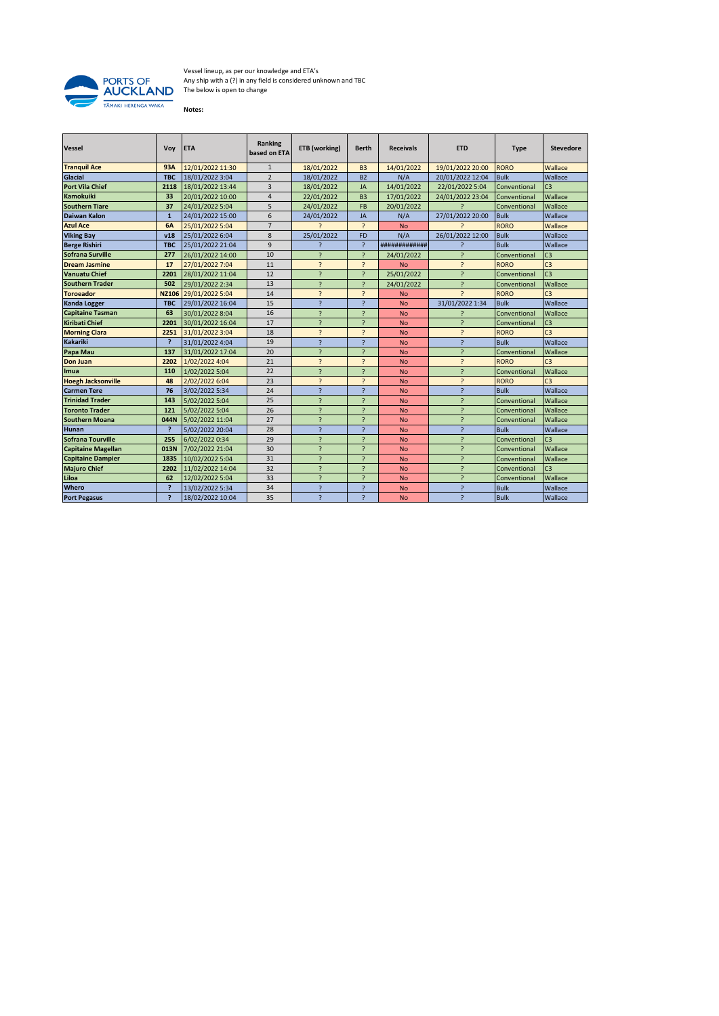

Vessel lineup, as per our knowledge and ETA's Any ship with a (?) in any field is considered unknown and TBC The below is open to change

**Notes:**

| <b>Vessel</b>             | Voy            | <b>ETA</b>       | Ranking<br>based on ETA | ETB (working)            | <b>Berth</b>             | <b>Receivals</b> | <b>ETD</b>               | <b>Type</b>  | <b>Stevedore</b> |
|---------------------------|----------------|------------------|-------------------------|--------------------------|--------------------------|------------------|--------------------------|--------------|------------------|
| <b>Tranquil Ace</b>       | 93A            | 12/01/2022 11:30 | $\mathbf{1}$            | 18/01/2022               | B <sub>3</sub>           | 14/01/2022       | 19/01/2022 20:00         | <b>RORO</b>  | Wallace          |
| <b>Glacial</b>            | <b>TBC</b>     | 18/01/2022 3:04  | $\overline{2}$          | 18/01/2022               | <b>B2</b>                | N/A              | 20/01/2022 12:04         | <b>Bulk</b>  | Wallace          |
| <b>Port Vila Chief</b>    | 2118           | 18/01/2022 13:44 | 3                       | 18/01/2022               | <b>JA</b>                | 14/01/2022       | 22/01/2022 5:04          | Conventional | C <sub>3</sub>   |
| <b>Kamokuiki</b>          | 33             | 20/01/2022 10:00 | $\overline{4}$          | 22/01/2022               | B <sub>3</sub>           | 17/01/2022       | 24/01/2022 23:04         | Conventional | Wallace          |
| <b>Southern Tiare</b>     | 37             | 24/01/2022 5:04  | 5                       | 24/01/2022               | <b>FB</b>                | 20/01/2022       |                          | Conventional | Wallace          |
| <b>Daiwan Kalon</b>       | $\mathbf{1}$   | 24/01/2022 15:00 | 6                       | 24/01/2022               | JA                       | N/A              | 27/01/2022 20:00         | <b>Bulk</b>  | Wallace          |
| <b>Azul Ace</b>           | <b>6A</b>      | 25/01/2022 5:04  | $\overline{7}$          | $\overline{z}$           | $\overline{?}$           | <b>No</b>        |                          | <b>RORO</b>  | Wallace          |
| <b>Viking Bay</b>         | v18            | 25/01/2022 6:04  | 8                       | 25/01/2022               | <b>FD</b>                | N/A              | 26/01/2022 12:00         | <b>Bulk</b>  | Wallace          |
| <b>Berge Rishiri</b>      | <b>TBC</b>     | 25/01/2022 21:04 | 9                       | $\overline{ }$           | $\overline{?}$           | #############    |                          | <b>Bulk</b>  | Wallace          |
| Sofrana Surville          | 277            | 26/01/2022 14:00 | 10                      | $\overline{?}$           | <sup>2</sup>             | 24/01/2022       | $\overline{\phantom{a}}$ | Conventional | C <sub>3</sub>   |
| <b>Dream Jasmine</b>      | 17             | 27/01/2022 7:04  | 11                      | $\overline{\phantom{0}}$ | <sup>2</sup>             | <b>No</b>        | $\overline{\phantom{a}}$ | <b>RORO</b>  | C <sub>3</sub>   |
| <b>Vanuatu Chief</b>      | 2201           | 28/01/2022 11:04 | 12                      | $\overline{?}$           | <sup>2</sup>             | 25/01/2022       | $\overline{\phantom{a}}$ | Conventional | C <sub>3</sub>   |
| <b>Southern Trader</b>    | 502            | 29/01/2022 2:34  | 13                      | $\overline{\phantom{a}}$ | ς                        | 24/01/2022       | $\overline{\phantom{0}}$ | Conventional | Wallace          |
| <b>Toroeador</b>          | <b>NZ106</b>   | 29/01/2022 5:04  | 14                      | $\overline{\phantom{0}}$ | $\overline{\phantom{a}}$ | <b>No</b>        | $\overline{ }$           | <b>RORO</b>  | C <sub>3</sub>   |
| <b>Kanda Logger</b>       | <b>TBC</b>     | 29/01/2022 16:04 | 15                      | $\overline{a}$           | ς                        | <b>No</b>        | 31/01/2022 1:34          | <b>Bulk</b>  | Wallace          |
| <b>Capitaine Tasman</b>   | 63             | 30/01/2022 8:04  | 16                      | $\overline{?}$           | ς                        | <b>No</b>        |                          | Conventional | Wallace          |
| <b>Kiribati Chief</b>     | 2201           | 30/01/2022 16:04 | 17                      | $\overline{?}$           | <sub>2</sub>             | <b>No</b>        | <sup>2</sup>             | Conventional | C <sub>3</sub>   |
| <b>Morning Clara</b>      | 2251           | 31/01/2022 3:04  | 18                      | $\overline{\phantom{0}}$ | ς                        | <b>No</b>        | $\overline{\phantom{0}}$ | <b>RORO</b>  | C <sub>3</sub>   |
| <b>Kakariki</b>           | $\overline{?}$ | 31/01/2022 4:04  | 19                      | $\overline{?}$           | ς                        | <b>No</b>        | $\overline{\phantom{a}}$ | <b>Bulk</b>  | Wallace          |
| Papa Mau                  | 137            | 31/01/2022 17:04 | 20                      | $\overline{?}$           | ς                        | <b>No</b>        | $\overline{\phantom{a}}$ | Conventional | Wallace          |
| <b>Don Juan</b>           | 2202           | 1/02/2022 4:04   | 21                      | $\overline{\phantom{0}}$ | <sup>2</sup>             | <b>No</b>        | $\overline{\phantom{a}}$ | <b>RORO</b>  | C <sub>3</sub>   |
| Imua                      | 110            | 1/02/2022 5:04   | 22                      | $\overline{a}$           | <sup>2</sup>             | <b>No</b>        | $\overline{\phantom{a}}$ | Conventional | Wallace          |
| <b>Hoegh Jacksonville</b> | 48             | 2/02/2022 6:04   | 23                      | $\overline{\phantom{0}}$ | <sup>2</sup>             | <b>No</b>        | $\overline{\phantom{a}}$ | <b>RORO</b>  | C <sub>3</sub>   |
| <b>Carmen Tere</b>        | 76             | 3/02/2022 5:34   | 24                      | $\overline{?}$           | ς                        | <b>No</b>        | $\overline{\phantom{a}}$ | <b>Bulk</b>  | Wallace          |
| <b>Trinidad Trader</b>    | 143            | 5/02/2022 5:04   | 25                      | $\overline{\phantom{a}}$ | $\overline{ }$           | <b>No</b>        | $\overline{a}$           | Conventional | Wallace          |
| <b>Toronto Trader</b>     | 121            | 5/02/2022 5:04   | 26                      | $\overline{\phantom{a}}$ | $\overline{a}$           | <b>No</b>        | ς                        | Conventional | Wallace          |
| <b>Southern Moana</b>     | 044N           | 5/02/2022 11:04  | 27                      | $\overline{\phantom{a}}$ | $\overline{ }$           | <b>No</b>        | $\overline{ }$           | Conventional | Wallace          |
| <b>Hunan</b>              | P              | 5/02/2022 20:04  | 28                      | $\overline{?}$           | P                        | <b>No</b>        | $\overline{\mathcal{L}}$ | <b>Bulk</b>  | Wallace          |
| <b>Sofrana Tourville</b>  | 255            | 6/02/2022 0:34   | 29                      | $\overline{\phantom{a}}$ | $\overline{ }$           | <b>No</b>        | $\overline{\phantom{a}}$ | Conventional | C <sub>3</sub>   |
| <b>Capitaine Magellan</b> | 013N           | 7/02/2022 21:04  | 30                      | $\overline{?}$           | ς                        | <b>No</b>        | <sup>2</sup>             | Conventional | Wallace          |
| <b>Capitaine Dampier</b>  | <b>183S</b>    | 10/02/2022 5:04  | 31                      | $\overline{\phantom{a}}$ | <sup>2</sup>             | <b>No</b>        | ς                        | Conventional | Wallace          |
| <b>Majuro Chief</b>       | 2202           | 11/02/2022 14:04 | 32                      | $\overline{\phantom{a}}$ | $\overline{ }$           | <b>No</b>        | $\overline{\phantom{a}}$ | Conventional | C <sub>3</sub>   |
| Liloa                     | 62             | 12/02/2022 5:04  | 33                      | $\overline{?}$           | ς                        | <b>No</b>        | $\overline{\phantom{a}}$ | Conventional | Wallace          |
| Whero                     | P              | 13/02/2022 5:34  | 34                      | $\overline{\phantom{0}}$ | ς                        | <b>No</b>        | $\overline{ }$           | <b>Bulk</b>  | Wallace          |
| <b>Port Pegasus</b>       | P              | 18/02/2022 10:04 | 35                      | $\overline{?}$           | P                        | <b>No</b>        | ?                        | <b>Bulk</b>  | Wallace          |